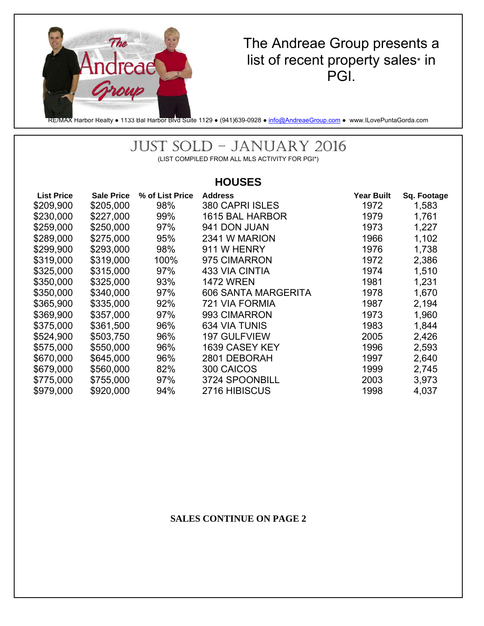

# The Andreae Group presents a list of recent property sales\* in PGI.

RE/MAX Harbor Realty • 1133 Bal Harbor Blvd Suite 1129 • (941)639-0928 • info@AndreaeGroup.com • www.ILovePuntaGorda.com

# JUST SOLD – JANUARY 2016

(LIST COMPILED FROM ALL MLS ACTIVITY FOR PGI\*)

### **HOUSES**

| <b>List Price</b> | <b>Sale Price</b> | % of List Price | <b>Address</b>       | <b>Year Built</b> | Sq. Footage |
|-------------------|-------------------|-----------------|----------------------|-------------------|-------------|
| \$209,900         | \$205,000         | 98%             | 380 CAPRI ISLES      | 1972              | 1,583       |
| \$230,000         | \$227,000         | 99%             | 1615 BAL HARBOR      | 1979              | 1,761       |
| \$259,000         | \$250,000         | 97%             | 941 DON JUAN         | 1973              | 1,227       |
| \$289,000         | \$275,000         | 95%             | 2341 W MARION        | 1966              | 1,102       |
| \$299,900         | \$293,000         | 98%             | 911 W HENRY          | 1976              | 1,738       |
| \$319,000         | \$319,000         | 100%            | 975 CIMARRON         | 1972              | 2,386       |
| \$325,000         | \$315,000         | 97%             | 433 VIA CINTIA       | 1974              | 1,510       |
| \$350,000         | \$325,000         | 93%             | <b>1472 WREN</b>     | 1981              | 1,231       |
| \$350,000         | \$340,000         | 97%             | 606 SANTA MARGERITA  | 1978              | 1,670       |
| \$365,900         | \$335,000         | 92%             | 721 VIA FORMIA       | 1987              | 2,194       |
| \$369,900         | \$357,000         | 97%             | 993 CIMARRON         | 1973              | 1,960       |
| \$375,000         | \$361,500         | 96%             | <b>634 VIA TUNIS</b> | 1983              | 1,844       |
| \$524,900         | \$503,750         | 96%             | <b>197 GULFVIEW</b>  | 2005              | 2,426       |
| \$575,000         | \$550,000         | 96%             | 1639 CASEY KEY       | 1996              | 2,593       |
| \$670,000         | \$645,000         | 96%             | 2801 DEBORAH         | 1997              | 2,640       |
| \$679,000         | \$560,000         | 82%             | 300 CAICOS           | 1999              | 2,745       |
| \$775,000         | \$755,000         | 97%             | 3724 SPOONBILL       | 2003              | 3,973       |
| \$979,000         | \$920,000         | 94%             | 2716 HIBISCUS        | 1998              | 4,037       |

#### **SALES CONTINUE ON PAGE 2**